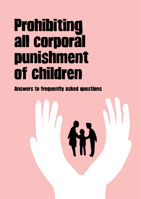## Prohibiting all corporal punishment of children

Answers to frequently asked questions

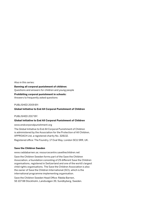Also in this series:

**Banning all corporal punishment of children:** Questions and answers for children and young people

**Prohibiting corporal punishment in schools:** Answers to frequently asked questions

PUBLISHED 2009 BY:

**Global Initiative to End All Corporal Punishment of Children**

PUBLISHED 2017 BY:

#### **Global Initiative to End All Corporal Punishment of Children**

[www.endcorporalpunishment.org](http://www.endcorporalpunishment.org)

The Global Initiative to End All Corporal Punishment of Children is administered by the Association for the Protection of All Children, APPROACH Ltd, a registered charity No. 328132.

Registered office: The Foundry, 17 Oval Way, London SE11 5RR, UK.

#### **Save the Children Sweden**

[www.raddabarnen.se;](http://www.raddabarnen.se) [resourcecentre.savethechildren.net](https://resourcecentre.savethechildren.net)

Save the Children Sweden forms part of the Save the Children Association, a foundation consisting of 29 different Save the Children organisations, registered in Switzerland and one of the world's largest child rights organisations. The Save the Children Association is also the owner of Save the Children International (SCI), which is the international programme implementing organisation.

Save the Children Sweden Head Office: Rädda Barnen, SE-107 88 Stockholm, Landsvägen 39, Sundbyberg, Sweden.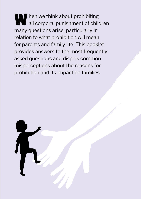hen we think about prohibiting all corporal punishment of children many questions arise, particularly in relation to what prohibition will mean for parents and family life. This booklet provides answers to the most frequently asked questions and dispels common misperceptions about the reasons for prohibition and its impact on families. W

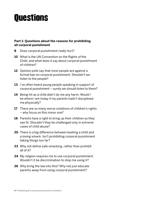## **Questions**

#### **Part 1: Questions about the reasons for prohibiting all corporal punishment**

- **8** Does corporal punishment really hurt?
- **10** What is the UN Convention on the Rights of the Child, and what does it say about corporal punishment of children?
- **12** Opinion polls say that most people are against a formal ban on corporal punishment. Shouldn't we listen to the people?
- **13** I've often heard young people speaking in support of corporal punishment – surely we should listen to them?
- **14** Being hit as a child didn't do me any harm. Would I be where I am today if my parents hadn't disciplined me physically?
- **17** There are so many worse violations of children's rights – why focus on this minor one?
- **18** Parents have a right to bring up their children as they see fit. Shouldn't they be challenged only in extreme cases of child abuse?
- **20** There is a big difference between beating a child and a loving smack. Isn't prohibiting corporal punishment taking things too far?
- **23** Why not define safe smacking, rather than prohibit all of it?
- **24** My religion requires me to use corporal punishment. Wouldn't it be discrimination to stop me using it?
- **26** Why bring the law into this? Why not just educate parents away from using corporal punishment?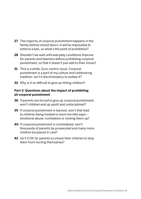- **27** The majority of corporal punishment happens in the family behind closed doors; it will be impossible to enforce a ban, so what's the point of prohibition?
- **28** Shouldn't we wait until everyday conditions improve for parents and teachers before prohibiting corporal punishment, so that it doesn't just add to their stress?
- **31** This is a white, Euro-centric issue. Corporal punishment is a part of my culture and childrearing tradition. Isn't it discriminatory to outlaw it?
- **32** Why is it so difficult to give up hitting children?

#### **Part 2: Questions about the impact of prohibiting all corporal punishment**

- **36** If parents are forced to give up corporal punishment, won't children end up spoilt and undisciplined?
- **39** If corporal punishment is banned, won't that lead to children being treated in more horrible ways – emotional abuse, humiliation or locking them up?
- **40** If corporal punishment is criminalised, won't thousands of parents be prosecuted and many more children be placed in care?
- **42** Isn't it OK for parents to smack their children to stop them from hurting themselves?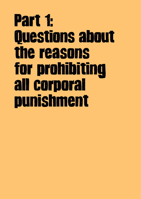## Part 1: Questions about the reasons for prohibiting all corporal punishment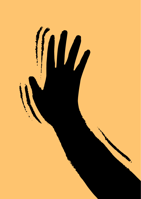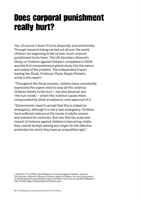## Does corporal punishment really hurt?

Yes, of course it does! It hurts physically and emotionally. Through research being carried out all over the world, children are beginning to tell us how much corporal punishment hurts them. The UN Secretary General's Study on Violence against Children, completed in 2006, was the first comprehensive global study into the nature and extent of the problem. The Independent Expert leading the Study, Professor Paulo Sérgio Pinheiro, wrote in the report: $1$ 

"Throughout the Study process, children have consistently expressed the urgent need to stop all this violence. Children testify to the hurt – not only physical, but 'the hurt inside' – which this violence causes them, compounded by adult acceptance, even approval of it.

"Governments need to accept that this is indeed an emergency, although it is not a new emergency. Children have suffered violence at the hands of adults unseen and unheard for centuries. But now that the scale and impact of violence against children is becoming visible, they cannot be kept waiting any longer for the effective protection for which they have an unqualified right."

1. Pinheiro, P. S. (2006), World Report on Violence Against Children, Geneva: UN Secretary-General's Study on Violence against Children. For more information on the Study and to download the report see [http://www.ohchr.org/EN/HRBodies/](http://www.ohchr.org/EN/HRBodies/CRC/Study/Pages/StudyViolenceChildren.aspx) [CRC/Study/Pages/StudyViolenceChildren.aspx](http://www.ohchr.org/EN/HRBodies/CRC/Study/Pages/StudyViolenceChildren.aspx)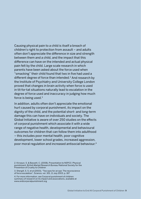Causing physical pain to a child is itself a breach of children's right to protection from assault – and adults often don't appreciate the difference in size and strength between them and a child, and the impact that this difference can have on the intended and actual physical pain felt by the child. Large scale research in which parents have been asked about the force used when "smacking" their child found that two in five had used a different degree of force than intended.2 And research by the Institute of Psychiatry and University College London proved that changes in brain activity when force is used in tit-for-tat situations naturally lead to escalation in the degree of force used and inaccuracy in judging how much force is being used.3

In addition, adults often don't appreciate the emotional hurt caused by corporal punishment, its impact on the dignity of the child, and the potential short- and long-term damage this can have on individuals and society. The Global Initiative is aware of over 250 studies on the effects of corporal punishment which associate it with a wide range of negative health, developmental and behavioural outcomes for children that can follow them into adulthood – this includes poor mental health, poor cognitive development, lower school grades, increased aggression, poor moral regulation and increased antisocial behaviour.4

2. Kirwaun, S. & Bassett, C. (2008), Presentation to NSPCC: Physical punishment, British Market Research Bureau/National Society for the Prevention of Cruelty to Children

3. Shergill, S. S. et al (2003), "Two eyes for an eye: The neuroscience of force escalation", Science, vol. 301, 11 July 2003, p. 187

4. For more information, see Corporal punishment of children: summary of research on its impact and associations, available at [www.endcorporalpunishment.org](http://www.endcorporalpunishment.org)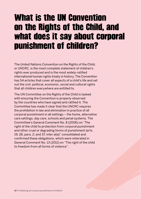### What is the UN Convention on the Rights of the Child, and what does it say about corporal punishment of children?

The United Nations Convention on the Rights of the Child, or UNCRC, is the most complete statement of children's rights ever produced and is the most widely-ratified international human rights treaty in history. The Convention has 54 articles that cover all aspects of a child's life and set out the civil, political, economic, social and cultural rights that all children everywhere are entitled to.

The UN Committee on the Rights of the Child is tasked with ensuring the Convention is properly observed by the countries who have signed and ratified it. The Committee has made it clear that the UNCRC requires the prohibition in law and elimination in practice of all corporal punishment in all settings – the home, alternative care settings, day care, schools and penal systems. The Committee's General Comment No. 8 (2006) on "The right of the child to protection from corporal punishment and other cruel or degrading forms of punishment (arts. 19; 28, para. 2; and 37, inter alia)" consolidated and confirmed these obligations, which were reiterated in General Comment No. 13 (2011) on "The right of the child to freedom from all forms of violence".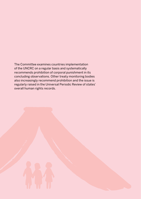The Committee examines countries implementation of the UNCRC on a regular basis and systematically recommends prohibition of corporal punishment in its concluding observations. Other treaty monitoring bodies also increasingly recommend prohibition and the issue is regularly raised in the Universal Periodic Review of states' overall human rights records.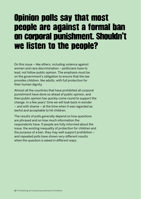### Opinion polls say that most people are against a formal ban on corporal punishment. Shouldn't we listen to the people?

On this issue – like others, including violence against women and race discrimination – politicians have to lead, not follow public opinion. The emphasis must be on the government's obligation to ensure that the law provides children, like adults, with full protection for their human dignity.

Almost all the countries that have prohibited all corporal punishment have done so ahead of public opinion, and then public opinion has quickly come round to support the change. In a few years' time we will look back in wonder – and with shame – at the time when it was regarded as lawful and acceptable to hit children.

The results of polls generally depend on how questions are phrased and on how much information the respondents have. If people are fully informed about the issue, the existing inequality of protection for children and the purpose of a ban, they may well support prohibition – and repeated polls have shown very different results when the question is asked in different ways.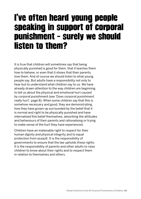### I've often heard young people speaking in support of corporal punishment – surely we should listen to them?

It is true that children will sometimes say that being physically punished is good for them, that it teaches them how to behave, or even that it shows that their parents love them. And of course we should listen to what young people say. But adults have a responsibility not only to hear but to understand what children say to us. We have already drawn attention to the way children are beginning to tell us about the physical and emotional hurt caused by corporal punishment (see 'Does corporal punishment really hurt', page 8). When some children say that this is somehow necessary and good, they are demonstrating how they have grown up surrounded by the belief that it is normal and right to be physically punished and have internalised this belief themselves, absorbing the attitudes and behaviours of their parents and rationalising or trying to make sense of the hurt they have experienced.

Children have an inalienable right to respect for their human dignity and physical integrity and to equal protection from assault. It is the responsibility of governments to ensure that the law upholds these rights. It is the responsibility of parents and other adults to raise children to know about their rights and to respect them in relation to themselves and others.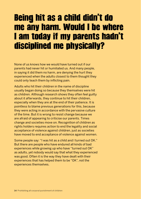### Being hit as a child didn't do me any harm. Would I be where I am today if my parents hadn't disciplined me physically?

None of us knows how we would have turned out if our parents had never hit or humiliated us. And many people, in saying it did them no harm, are denying the hurt they experienced when the adults closest to them thought they could only teach them by inflicting pain.

Adults who hit their children in the name of discipline usually began doing so because they themselves were hit as children. Although research shows they often feel guilty about it afterwards, they continue to hit their children, especially when they are at the end of their patience. It is pointless to blame previous generations for this, because they were acting in accordance with the pervasive culture of the time. But it is wrong to resist change because we are afraid of appearing to criticise our parents. Times change and societies move on. Recognition of children as rights holders requires action to end the legality and social acceptance of violence against children, just as societies have moved to end acceptance of violence against women.

Some people say: "I was hit as a child and I turned out OK." But there are people who have endured all kinds of bad experiences while growing up who have "turned out OK" as adults, yet nobody would say that what they experienced was good. Often it is the way they have dealt with their experiences that has helped them to be "OK", not the experiences themselves.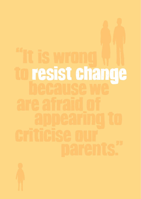**The resist change**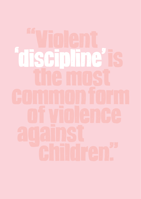"Violent 'discipline' is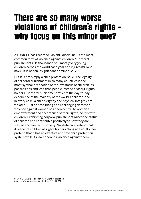#### There are so many worse violations of children's rights – why focus on this minor one?

As UNICEF has recorded, violent "discipline" is the most common form of violence against children.5 Corporal punishment kills thousands of – mostly very young – children across the world each year and injures millions more. It is not an insignificant or minor issue.

But it is not simply a child protection issue. The legality of corporal punishment in so many countries is the most symbolic reflection of the low status of children, as possessions and less-than people instead of as full rights holders. Corporal punishment reflects the day-to-day experience of the majority of the world's children, and in every case, a child's dignity and physical integrity are violated. Just as prohibiting and challenging domestic violence against women has been central to women's empowerment and acceptance of their rights, so it is with children. Prohibiting corporal punishment raises the status of children and contributes positively to how they are viewed and treated in society. No state can pretend that it respects children as rights holders alongside adults, nor pretend that it has an effective and safe child protection system while its law condones violence against them.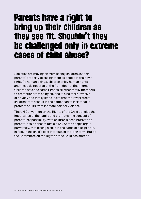#### Parents have a right to bring up their children as they see fit. Shouldn't they be challenged only in extreme cases of child abuse?

Societies are moving on from seeing children as their parents' property to seeing them as people in their own right. As human beings, children enjoy human rights – and these do not stop at the front door of their home. Children have the same right as all other family members to protection from being hit, and it is no more invasive of privacy and family life to insist that the law protects children from assault in the home than to insist that it protects adults from intimate partner violence.

The UN Convention on the Rights of the Child upholds the importance of the family and promotes the concept of parental responsibility, with children's best interests as parents' basic concern (article 18). Some people argue, perversely, that hitting a child in the name of discipline is, in fact, in the child's best interests in the long term. But as the Committee on the Rights of the Child has stated:<sup>6</sup>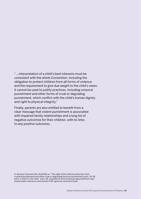"... interpretation of a child's best interests must be consistent with the whole Convention, including the obligation to protect children from all forms of violence and the requirement to give due weight to the child's views; it cannot be used to justify practices, including corporal punishment and other forms of cruel or degrading punishment, which conflict with the child's human dignity and right to physical integrity."

Finally, parents are also entitled to benefit from a clear message that violent punishment is associated with impaired family relationships and a long list of negative outcomes for their children, with no links to any positive outcomes.

6. General Comment No. 8 (2006) on "The right of the child to protection from corporal punishment and other cruel or degrading forms of punishment (arts. 19; 28, para. 2; and 37, inter alia)", para. 26, available at [www.endcorporalpunishment.org/](http://www.endcorporalpunishment.org/assets/pdfs/reference-documents/CRC-general-comment-8.pdf) [assets/pdfs/reference-documents/CRC-general-comment-8.pdf](http://www.endcorporalpunishment.org/assets/pdfs/reference-documents/CRC-general-comment-8.pdf)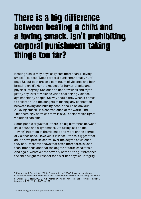#### There is a big difference between beating a child and a loving smack. Isn't prohibiting corporal punishment taking things too far?

Beating a child may physically hurt more than a "loving smack" (but see 'Does corporal punishment really hurt', page 8), but both are on a continuum of violence and both breach a child's right to respect for human dignity and physical integrity. Societies do not draw lines and try to justify any level of violence when challenging violence against elderly people. So why should they when it comes to children? And the dangers of making any connection between loving and hurting people should be obvious. A "loving smack" is a contradiction of the worst kind. This seemingly harmless term is a veil behind which rights violations can hide.

Some people argue that "there is a big difference between child abuse and a light smack", focusing less on the "loving" intention of the violence and more on the degree of violence used. However, it is inaccurate to suggest that adults have precise control over the degree of violence they use. Research shows that often more force is used than intended<sup>7</sup>, and that the degree of force escalates. $^8$ And again, whatever the severity of the hitting, it breaches the child's right to respect for his or her physical integrity.

7. Kirwaun, S. & Bassett, C. (2008), Presentation to NSPCC: Physical punishment, British Market Research Bureau/National Society for the Prevention of Cruelty to Children

8. Shergill, S. S. et al (2003), "Two eyes for an eye: The neuroscience of force escalation", Science, vol. 301, 11 July 2003, p. 187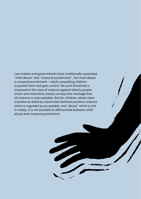Law makers and governments have traditionally separated "child abuse" and "corporal punishment", but most abuse is corporal punishment – adults assaulting children to punish them and gain control. No such threshold is proposed in the case of violence against elderly people, where zero-tolerance clearly conveys the message that all violence is unacceptable. But for children, adults have invented an arbitrary distinction between punitive violence which is regarded as acceptable, and "abuse" which is not. In reality, it is not possible to differentiate between child abuse and corporal punishment.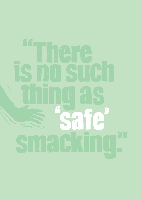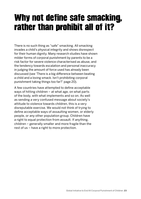## Why not define safe smacking, rather than prohibit all of it?

There is no such thing as "safe" smacking. All smacking invades a child's physical integrity and shows disrespect for their human dignity. Many research studies have shown milder forms of corporal punishment by parents to be a risk factor for severe violence characterised as abuse, and the tendency towards escalation and personal inaccuracy in judging the amount of force used has already been discussed (see 'There is a big difference between beating a child and a loving smack. Isn't prohibiting corporal punishment taking things too far?' page 20).

A few countries have attempted to define acceptable ways of hitting children – at what age, on what parts of the body, with what implements and so on. As well as sending a very confused message about society's attitude to violence towards children, this is a very disreputable exercise. We would not think of trying to define acceptable ways of assaulting women, or elderly people, or any other population group. Children have a right to equal protection from assault. If anything, children – generally smaller and more fragile than the rest of us – have a right to more protection.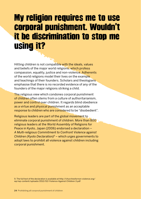### My religion requires me to use corporal punishment. Wouldn't it be discrimination to stop me using it?

Hitting children is not compatible with the ideals, values and beliefs of the major world religions, which profess compassion, equality, justice and non-violence. Adherents of the world religions model their lives on the example and teachings of their founders. Scholars and theologians emphasise that there is no recorded evidence of any of the founders of the major religions striking a child.

The religious view which condones corporal punishment of children often stems from a culture of authoritarianism, power and control over children. It regards blind obedience as a virtue and physical punishment as an acceptable response to children who are considered to be "disobedient".

Religious leaders are part of the global movement to eliminate corporal punishment of children. More than 800 religious leaders at the World Assembly of Religions for Peace in Kyoto, Japan (2006) endorsed a declaration – *A Multi-religious Commitment to Confront Violence against Children (Kyoto Declaration)9* – which urges governments to adopt laws to prohibit all violence against children including corporal punishment.

9. The full text of the declaration is available at [http://churchesfornon-violence.org/](http://churchesfornon-violence.org/wp/wp-content/uploads/2012/02/Violence-Against-Children-3.pdf) [wp/wp-content/uploads/2012/02/Violence-Against-Children-3.pdf](http://churchesfornon-violence.org/wp/wp-content/uploads/2012/02/Violence-Against-Children-3.pdf)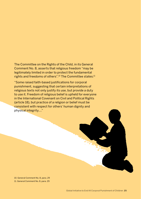The Committee on the Rights of the Child, in its General Comment No. 8, asserts that religious freedom "may be legitimately limited in order to protect the fundamental rights and freedoms of others".10 The Committee states:11

"Some raised faith-based justifications for corporal punishment, suggesting that certain interpretations of religious texts not only justify its use, but provide a duty to use it. Freedom of religious belief is upheld for everyone in the International Covenant on Civil and Political Rights (article 18), but practice of a religion or belief must be consistent with respect for others' human dignity and physical integrity…."

10. General Comment No. 8, para. 29 11. General Comment No. 8, para. 29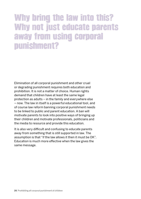#### Why bring the law into this? Why not just educate parents away from using corporal punishment?

Elimination of all corporal punishment and other cruel or degrading punishment requires both education and prohibition. It is not a matter of choice. Human rights demand that children have at least the same legal protection as adults – in the family and everywhere else – now. The law in itself is a powerful educational tool, and of course law reform banning corporal punishment needs to be linked to public and parent education. A ban will motivate parents to look into positive ways of bringing up their children and motivate professionals, politicians and the media to resource and provide this education.

It is also very difficult and confusing to educate parents away from something that is still supported in law. The assumption is that "if the law allows it then it must be OK". Education is much more effective when the law gives the same message.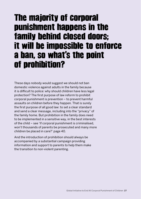### The majority of corporal punishment happens in the family behind closed doors; it will be impossible to enforce a ban, so what's the point of prohibition?

These days nobody would suggest we should not ban domestic violence against adults in the family because it is difficult to police: why should children have less legal protection? The first purpose of law reform to prohibit corporal punishment is prevention – to prevent harmful assaults on children before they happen. That is surely the first purpose of all good law: to set a clear standard and send a clear message, including into the "privacy" of the family home. But prohibition in the family does need to be implemented in a sensitive way, in the best interests of the child – see 'If corporal punishment is criminalised, won't thousands of parents be prosecuted and many more children be placed in care?' page 40.

And the introduction of prohibition should always be accompanied by a substantial campaign providing information and support to parents to help them make the transition to non-violent parenting.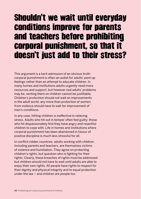### Shouldn't we wait until everyday conditions improve for parents and teachers before prohibiting corporal punishment, so that it doesn't just add to their stress?

This argument is a tacit admission of an obvious truth: corporal punishment is often an outlet for adults' pent-up feelings rather than an attempt to educate children. In many homes and institutions adults urgently need more resources and support, but however real adults' problems may be, venting them on children cannot be justifiable. Children's protection should not wait on improvements in the adult world, any more than protection of women from violence should have to wait for improvement of men's conditions.

In any case, hitting children is ineffective in relieving stress. Adults who hit out in temper often feel guilty; those who hit dispassionately find they have angry and resentful children to cope with. Life in homes and institutions where corporal punishment has been abandoned in favour of positive discipline is much less stressful for all.

In conflict-ridden countries, adults working with children, including parents and teachers, are themselves victims of violence and humiliation. They agree on protecting children's rights, but question who is fighting for their rights. Clearly, these breaches of rights must be addressed but children should not have to wait until adults are able to enjoy their own rights. All people have rights to respect for their dignity and physical integrity and to equal protection under the law – and children are people too.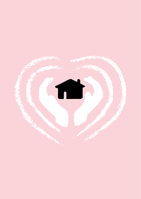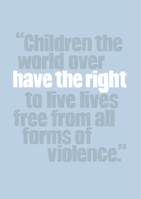# "Children the world over have the right to live lives free from all forms of violence."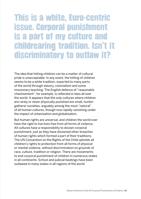#### This is a white, Euro-centric issue. Corporal punishment is a part of my culture and childrearing tradition. Isn't it discriminatory to outlaw it?

The idea that hitting children can be a matter of cultural pride is unacceptable. In any event, the hitting of children seems to be a white tradition, exported to many parts of the world through slavery, colonialism and some missionary teaching. The English defence of "reasonable chastisement", for example, is reflected in laws all over the world. It appears that the only cultures where children are rarely or never physically punished are small, huntergatherer societies, arguably among the most "natural" of all human cultures, though now rapidly vanishing under the impact of urbanisation and globalisation.

But human rights are universal, and children the world over have the right to live lives free from all forms of violence. All cultures have a responsibility to disown corporal punishment, just as they have disowned other breaches of human rights which formed a part of their traditions. The UN Convention on the Rights of the Child upholds all children's rights to protection from all forms of physical or mental violence, without discrimination on grounds of race, culture, tradition or religion. There are movements to end corporal punishment of children in numerous states in all continents. School and judicial beatings have been outlawed in many states in all regions of the world.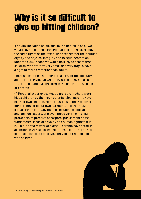## Why is it so difficult to give up hitting children?

If adults, including politicians, found this issue easy, we would have accepted long ago that children have exactly the same rights as the rest of us to respect for their human dignity and physical integrity and to equal protection under the law. In fact, we would be likely to accept that children, who start off very small and very fragile, have a right to more protection than adults.

There seem to be a number of reasons for the difficulty adults find in giving up what they still perceive of as a "right" to hit and hurt children in the name of "discipline" or control:

(i) Personal experience. Most people everywhere were hit as children by their own parents. Most parents have hit their own children. None of us likes to think badly of our parents, or of our own parenting, and this makes it challenging for many people, including politicians and opinion leaders, and even those working in child protection, to perceive of corporal punishment as the fundamental issue of equality and human rights that it is. This is not a matter of blame – parents have acted in accordance with social expectations – but the time has come to move on to positive, non-violent relationships with children.

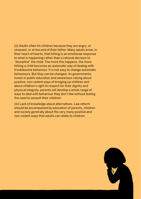(ii) Adults often hit children because they are angry, or stressed, or at the end of their tether. Many adults know, in their heart of hearts, that hitting is an emotional response to what is happening rather than a rational decision to "discipline" the child. The more this happens, the more hitting a child becomes an automatic way of dealing with troublesome behaviour. It is not easy to change automatic behaviours. But they can be changed. As governments invest in public education and awareness raising about positive, non-violent ways of bringing up children and about children's right to respect for their dignity and physical integrity, parents will develop a whole range of ways to deal with behaviour they don't like without feeling the need to assault their children.

(iii) Lack of knowledge about alternatives. Law reform should be accompanied by education of parents, children and society generally about the very many positive and non-violent ways that adults can relate to children.

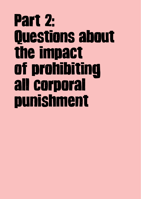## Part 2: Questions about the impact of prohibiting all corporal punishment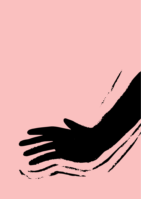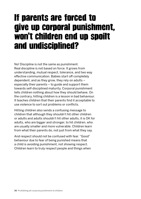### If parents are forced to give up corporal punishment, won't children end up spoilt and undisciplined?

No! Discipline is not the same as punishment. Real discipline is not based on force. It grows from understanding, mutual respect, tolerance, and two way effective communication. Babies start off completely dependent, and as they grow, they rely on adults – especially their parents – to guide and support them towards self-disciplined maturity. Corporal punishment tells children nothing about how they should behave. On the contrary, hitting children is a lesson in bad behaviour. It teaches children that their parents find it acceptable to use violence to sort out problems or conflicts.

Hitting children also sends a confusing message to children that although they shouldn't hit other children or adults and adults shouldn't hit other adults, it is OK for adults, who are bigger and stronger, to hit children, who are usually smaller and more vulnerable. Children learn from what their parents do, not just from what they say.

And respect should not be confused with fear. "Good" behaviour due to fear of being punished means that a child is avoiding punishment, not showing respect. Children learn to truly respect people and things when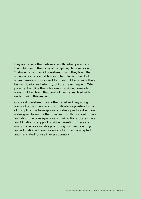they appreciate their intrinsic worth. When parents hit their children in the name of discipline, children learn to "behave" only to avoid punishment, and they learn that violence is an acceptable way to handle disputes. But when parents show respect for their children's and others' human dignity and integrity, children learn respect. When parents discipline their children in positive, non-violent ways, children learn that conflict can be resolved without undermining this respect.

Corporal punishment and other cruel and degrading forms of punishment are no substitute for positive forms of discipline. Far from spoiling children, positive discipline is designed to ensure that they learn to think about others and about the consequences of their actions. States have an obligation to support positive parenting. There are many materials available promoting positive parenting and education without violence, which can be adapted and translated for use in every country.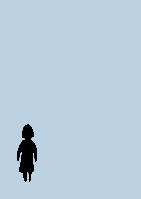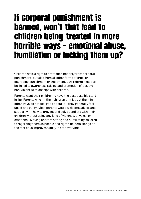### If corporal punishment is banned, won't that lead to children being treated in more horrible ways – emotional abuse, humiliation or locking them up?

Children have a right to protection not only from corporal punishment, but also from all other forms of cruel or degrading punishment or treatment. Law reform needs to be linked to awareness raising and promotion of positive, non-violent relationships with children.

Parents want their children to have the best possible start in life. Parents who hit their children or mistreat them in other ways do not feel good about it – they generally feel upset and guilty. Most parents would welcome advice and support with how to prevent and solve conflicts with their children without using any kind of violence, physical or emotional. Moving on from hitting and humiliating children to regarding them as people and rights-holders alongside the rest of us improves family life for everyone.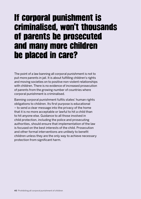#### If corporal punishment is criminalised, won't thousands of parents be prosecuted and many more children be placed in care?

The point of a law banning all corporal punishment is not to put more parents in jail. It is about fulfilling children's rights and moving societies on to positive non-violent relationships with children. There is no evidence of increased prosecution of parents from the growing number of countries where corporal punishment is criminalised.

Banning corporal punishment fulfils states' human rights obligations to children. Its first purpose is educational – to send a clear message into the privacy of the home that it is no more acceptable or lawful to hit a child than to hit anyone else. Guidance to all those involved in child protection, including the police and prosecuting authorities, should ensure that implementation of the law is focused on the best interests of the child. Prosecution and other formal interventions are unlikely to benefit children unless they are the only way to achieve necessary protection from significant harm.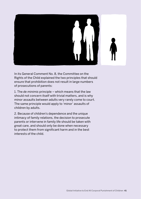

In its General Comment No. 8, the Committee on the Rights of the Child explained the two principles that should ensure that prohibition does not result in large numbers of prosecutions of parents:

1. The *de minimis* principle – which means that the law should not concern itself with trivial matters, and is why minor assaults between adults very rarely come to court. The same principle would apply to 'minor' assaults of children by adults.

2. Because of children's dependence and the unique intimacy of family relations, the decision to prosecute parents or intervene in family life should be taken with great care, and should only be done when necessary to protect them from significant harm and in the best interests of the child.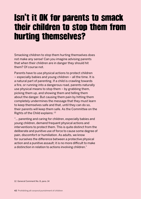## Isn't it OK for parents to smack their children to stop them from hurting themselves?

Smacking children to stop them hurting themselves does not make any sense! Can you imagine advising parents that when their children are in danger they should hit them? Of course not.

Parents have to use physical actions to protect children – especially babies and young children – all the time. It is a natural part of parenting. If a child is crawling towards a fire, or running into a dangerous road, parents naturally use physical means to stop them – by grabbing them, picking them up, and showing them and telling them about the danger. But causing them pain by hitting them completely undermines the message that they must learn to keep themselves safe and that, until they can do so, their parents will keep them safe. As the Committee on the Rights of the Child explains: 12

"... parenting and caring for children, especially babies and young children, demand frequent physical actions and interventions to protect them. This is quite distinct from the deliberate and punitive use of force to cause some degree of pain, discomfort or humiliation. As adults, we know for ourselves the difference between a protective physical action and a punitive assault; it is no more difficult to make a distinction in relation to actions involving children."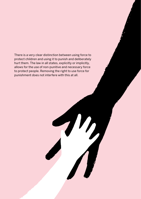There is a very clear distinction between using force to protect children and using it to punish and deliberately hurt them. The law in all states, explicitly or implicitly, allows for the use of non-punitive and necessary force to protect people. Removing the right to use force for punishment does not interfere with this at all.

 $\sqrt{2}$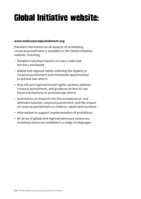## Global Initiative website:

#### **www.endcorporalpunishment.org**

Detailed information on all aspects of prohibiting corporal punishment is available on the Global Initiative website, including:

- Detailed individual reports on every state and territory worldwide
- Global and regional tables outlining the legality of corporal punishment and immediate opportunities to achieve law reform
- How UN and regional human rights systems address corporal punishment, and guidance on how to use these mechanisms to promote law reform
- Summaries of research into the prevalence of, and attitudes towards, corporal punishment, and the impact of corporal punishment on children, adults and societies
- Information to support implementation of prohibition
- An array of global and regional advocacy resources, including resources available in a range of languages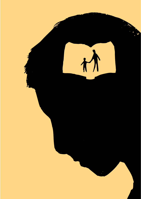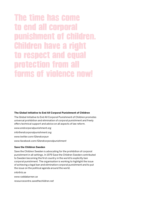The time has come to end all corporal punishment of children. Children have a to respect and protection from all forms of violence now!

#### **The Global Initiative to End All Corporal Punishment of Children**

The Global Initiative to End All Corporal Punishment of Children promotes universal prohibition and elimination of corporal punishment and freely offers technical support and advice on all aspects of law reform.

*[www.endcorporalpunishment.org](http://www.endcorporalpunishment.org) [info@endcorporalpunishment.org](mailto:info@endcorporalpunishment.org )  [www.twitter.com/GIendcorpun](http://www.twitter.com/GIendcorpun)  [www.facebook.com/GIendcorporalpunishment](http://www.facebook.com/GIendcorporalpunishment)*

#### **Save the Children Sweden**

*[info@rb.se](mailto:info@rb.se )* 

Save the Children Sweden is advocating for the prohibition of corporal punishment in all settings. In 1979 Save the Children Sweden contributed to Sweden becoming the first country in the world to explicitly ban corporal punishment. The organisation is working to highlight the issue of achieving a legal ban and elimination corporal punishment and to put the issue on the political agenda around the world.

*[www.raddabarnen.se](http://www.raddabarnen.se)  [resourcecentre.savethechildren.net](http://resourcecentre.savethechildren.net)*